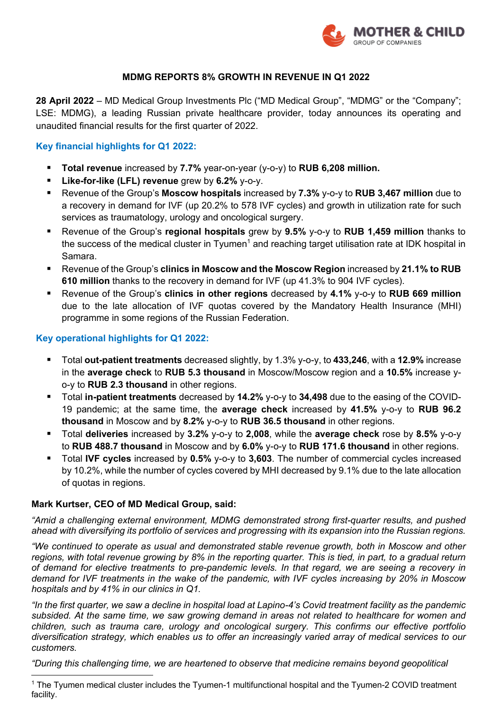

### **MDMG REPORTS 8% GROWTH IN REVENUE IN Q1 2022**

**28 April 2022** – MD Medical Group Investments Plc ("MD Medical Group", "MDMG" or the "Company"; LSE: MDMG), a leading Russian private healthcare provider, today announces its operating and unaudited financial results for the first quarter of 2022.

### **Key financial highlights for Q1 2022:**

- § **Total revenue** increased by **7.7%** year-on-year (y-o-y) to **RUB 6,208 million.**
- § **Like-for-like (LFL) revenue** grew by **6.2%** y-o-y.
- § Revenue of the Group's **Moscow hospitals** increased by **7.3%** y-o-y to **RUB 3,467 million** due to a recovery in demand for IVF (up 20.2% to 578 IVF cycles) and growth in utilization rate for such services as traumatology, urology and oncological surgery.
- § Revenue of the Group's **regional hospitals** grew by **9.5%** y-o-y to **RUB 1,459 million** thanks to the success of the medical cluster in Tyumen<sup>1</sup> and reaching target utilisation rate at IDK hospital in Samara.
- Revenue of the Group's **clinics in Moscow and the Moscow Region** increased by 21.1% to RUB **610 million** thanks to the recovery in demand for IVF (up 41.3% to 904 IVF cycles).
- § Revenue of the Group's **clinics in other regions** decreased by **4.1%** y-o-y to **RUB 669 million** due to the late allocation of IVF quotas covered by the Mandatory Health Insurance (MHI) programme in some regions of the Russian Federation.

### **Key operational highlights for Q1 2022:**

- § Total **out-patient treatments** decreased slightly, by 1.3% y-o-y, to **433,246**, with a **12.9%** increase in the **average check** to **RUB 5.3 thousand** in Moscow/Moscow region and a **10.5%** increase yo-y to **RUB 2.3 thousand** in other regions.
- § Total **in-patient treatments** decreased by **14.2%** y-o-y to **34,498** due to the easing of the COVID-19 pandemic; at the same time, the **average check** increased by **41.5%** y-o-y to **RUB 96.2 thousand** in Moscow and by **8.2%** y-o-y to **RUB 36.5 thousand** in other regions.
- § Total **deliveries** increased by **3.2%** y-o-y to **2,008**, while the **average check** rose by **8.5%** y-o-y to **RUB 488.7 thousand** in Moscow and by **6.0%** y-o-y to **RUB 171.6 thousand** in other regions.
- Total IVF cycles increased by 0.5% y-o-y to 3,603. The number of commercial cycles increased by 10.2%, while the number of cycles covered by MHI decreased by 9.1% due to the late allocation of quotas in regions.

### **Mark Kurtser, CEO of MD Medical Group, said:**

*"Amid a challenging external environment, MDMG demonstrated strong first-quarter results, and pushed ahead with diversifying its portfolio of services and progressing with its expansion into the Russian regions.*

*"We continued to operate as usual and demonstrated stable revenue growth, both in Moscow and other regions, with total revenue growing by 8% in the reporting quarter. This is tied, in part, to a gradual return of demand for elective treatments to pre-pandemic levels. In that regard, we are seeing a recovery in demand for IVF treatments in the wake of the pandemic, with IVF cycles increasing by 20% in Moscow hospitals and by 41% in our clinics in Q1.* 

*"In the first quarter, we saw a decline in hospital load at Lapino-4's Covid treatment facility as the pandemic subsided. At the same time, we saw growing demand in areas not related to healthcare for women and children, such as trauma care, urology and oncological surgery. This confirms our effective portfolio diversification strategy, which enables us to offer an increasingly varied array of medical services to our customers.*

*"During this challenging time, we are heartened to observe that medicine remains beyond geopolitical* 

<sup>&</sup>lt;sup>1</sup> The Tyumen medical cluster includes the Tyumen-1 multifunctional hospital and the Tyumen-2 COVID treatment facility.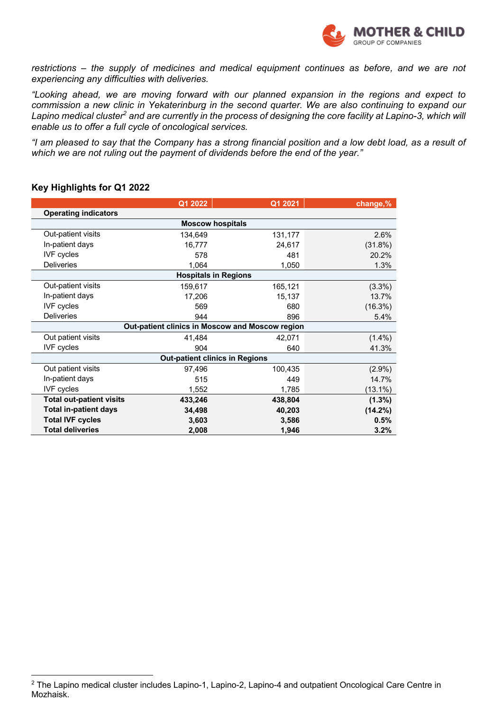

*restrictions – the supply of medicines and medical equipment continues as before, and we are not experiencing any difficulties with deliveries.*

*"Looking ahead, we are moving forward with our planned expansion in the regions and expect to commission a new clinic in Yekaterinburg in the second quarter. We are also continuing to expand our Lapino medical cluster2 and are currently in the process of designing the core facility at Lapino-3, which will enable us to offer a full cycle of oncological services.*

*"I am pleased to say that the Company has a strong financial position and a low debt load, as a result of which we are not ruling out the payment of dividends before the end of the year."*

#### **Key Highlights for Q1 2022**

|                                                 | Q1 2022 | Q1 2021                 | change,%   |  |  |
|-------------------------------------------------|---------|-------------------------|------------|--|--|
| <b>Operating indicators</b>                     |         |                         |            |  |  |
|                                                 |         | <b>Moscow hospitals</b> |            |  |  |
| Out-patient visits                              | 134,649 | 131,177                 | 2.6%       |  |  |
| In-patient days                                 | 16,777  | 24,617                  | $(31.8\%)$ |  |  |
| <b>IVF</b> cycles                               | 578     | 481                     | 20.2%      |  |  |
| <b>Deliveries</b>                               | 1,064   | 1,050                   | 1.3%       |  |  |
| <b>Hospitals in Regions</b>                     |         |                         |            |  |  |
| Out-patient visits                              | 159,617 | 165,121                 | $(3.3\%)$  |  |  |
| In-patient days                                 | 17,206  | 15,137                  | 13.7%      |  |  |
| <b>IVF</b> cycles                               | 569     | 680                     | $(16.3\%)$ |  |  |
| <b>Deliveries</b>                               | 944     | 896                     | 5.4%       |  |  |
| Out-patient clinics in Moscow and Moscow region |         |                         |            |  |  |
| Out patient visits                              | 41,484  | 42,071                  | $(1.4\%)$  |  |  |
| <b>IVF</b> cycles                               | 904     | 640                     | 41.3%      |  |  |
| <b>Out-patient clinics in Regions</b>           |         |                         |            |  |  |
| Out patient visits                              | 97,496  | 100,435                 | $(2.9\%)$  |  |  |
| In-patient days                                 | 515     | 449                     | 14.7%      |  |  |
| <b>IVF</b> cycles                               | 1,552   | 1,785                   | $(13.1\%)$ |  |  |
| <b>Total out-patient visits</b>                 | 433,246 | 438,804                 | $(1.3\%)$  |  |  |
| <b>Total in-patient days</b>                    | 34,498  | 40,203                  | $(14.2\%)$ |  |  |
| <b>Total IVF cycles</b>                         | 3,603   | 3,586                   | 0.5%       |  |  |
| <b>Total deliveries</b>                         | 2,008   | 1,946                   | 3.2%       |  |  |

<sup>2</sup> The Lapino medical cluster includes Lapino-1, Lapino-2, Lapino-4 and outpatient Oncological Care Centre in Mozhaisk.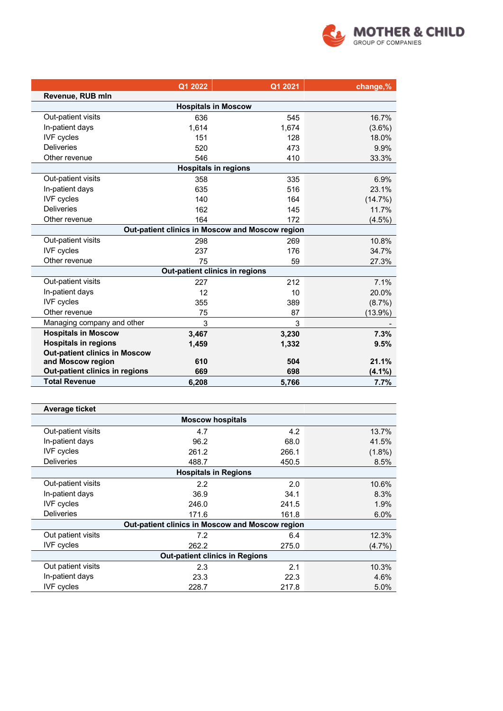

|                                      | Q1 2022 | Q1 2021                                         | change,%   |  |
|--------------------------------------|---------|-------------------------------------------------|------------|--|
| Revenue, RUB mln                     |         |                                                 |            |  |
|                                      |         | <b>Hospitals in Moscow</b>                      |            |  |
| Out-patient visits                   | 636     | 545                                             | 16.7%      |  |
| In-patient days                      | 1,614   | 1,674                                           | $(3.6\%)$  |  |
| <b>IVF</b> cycles                    | 151     | 128                                             | 18.0%      |  |
| <b>Deliveries</b>                    | 520     | 473                                             | 9.9%       |  |
| Other revenue                        | 546     | 410                                             | 33.3%      |  |
|                                      |         | <b>Hospitals in regions</b>                     |            |  |
| Out-patient visits                   | 358     | 335                                             | 6.9%       |  |
| In-patient days                      | 635     | 516                                             | 23.1%      |  |
| <b>IVF</b> cycles                    | 140     | 164                                             | $(14.7\%)$ |  |
| <b>Deliveries</b>                    | 162     | 145                                             | 11.7%      |  |
| Other revenue                        | 164     | 172                                             | $(4.5\%)$  |  |
|                                      |         | Out-patient clinics in Moscow and Moscow region |            |  |
| Out-patient visits                   | 298     | 269                                             | 10.8%      |  |
| <b>IVF</b> cycles                    | 237     | 176                                             | 34.7%      |  |
| Other revenue                        | 75      | 59                                              | 27.3%      |  |
|                                      |         | Out-patient clinics in regions                  |            |  |
| Out-patient visits                   | 227     | 212                                             | 7.1%       |  |
| In-patient days                      | 12      | 10                                              | 20.0%      |  |
| <b>IVF</b> cycles                    | 355     | 389                                             | $(8.7\%)$  |  |
| Other revenue                        | 75      | 87                                              | $(13.9\%)$ |  |
| Managing company and other           | 3       | 3                                               |            |  |
| <b>Hospitals in Moscow</b>           | 3,467   | 3,230                                           | 7.3%       |  |
| <b>Hospitals in regions</b>          | 1,459   | 1,332                                           | 9.5%       |  |
| <b>Out-patient clinics in Moscow</b> |         |                                                 |            |  |
| and Moscow region                    | 610     | 504                                             | 21.1%      |  |
| Out-patient clinics in regions       | 669     | 698                                             | (4.1%)     |  |
| <b>Total Revenue</b>                 | 6,208   | 5,766                                           | 7.7%       |  |

| <b>Average ticket</b>                           |       |       |           |  |  |
|-------------------------------------------------|-------|-------|-----------|--|--|
| <b>Moscow hospitals</b>                         |       |       |           |  |  |
| Out-patient visits                              | 4.7   | 4.2   | 13.7%     |  |  |
| In-patient days                                 | 96.2  | 68.0  | 41.5%     |  |  |
| <b>IVF</b> cycles                               | 261.2 | 266.1 | $(1.8\%)$ |  |  |
| <b>Deliveries</b>                               | 488.7 | 450.5 | 8.5%      |  |  |
| <b>Hospitals in Regions</b>                     |       |       |           |  |  |
| Out-patient visits                              | 2.2   | 2.0   | 10.6%     |  |  |
| In-patient days                                 | 36.9  | 34.1  | 8.3%      |  |  |
| <b>IVF</b> cycles                               | 246.0 | 241.5 | 1.9%      |  |  |
| <b>Deliveries</b>                               | 171.6 | 161.8 | 6.0%      |  |  |
| Out-patient clinics in Moscow and Moscow region |       |       |           |  |  |
| Out patient visits                              | 7.2   | 6.4   | 12.3%     |  |  |
| <b>IVF</b> cycles                               | 262.2 | 275.0 | (4.7%)    |  |  |
| <b>Out-patient clinics in Regions</b>           |       |       |           |  |  |
| Out patient visits                              | 2.3   | 2.1   | 10.3%     |  |  |
| In-patient days                                 | 23.3  | 22.3  | 4.6%      |  |  |
| <b>IVF</b> cycles                               | 228.7 | 217.8 | 5.0%      |  |  |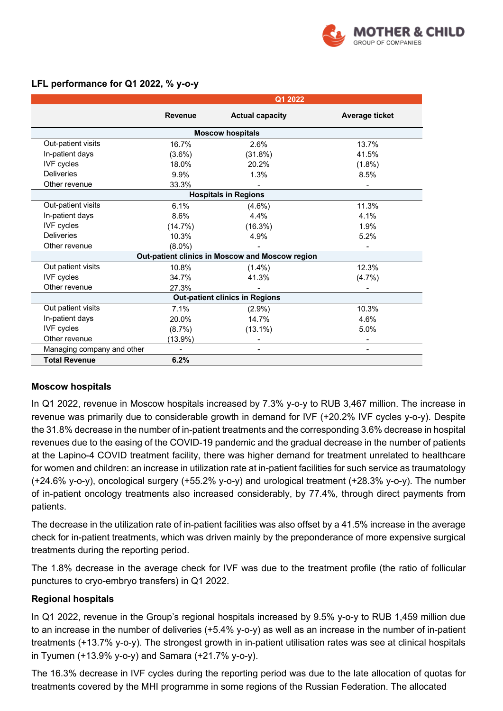

|                                       |                | Q1 2022                                         |                          |  |  |
|---------------------------------------|----------------|-------------------------------------------------|--------------------------|--|--|
|                                       | <b>Revenue</b> | <b>Actual capacity</b>                          | <b>Average ticket</b>    |  |  |
| <b>Moscow hospitals</b>               |                |                                                 |                          |  |  |
| Out-patient visits                    | 16.7%          | 2.6%                                            | 13.7%                    |  |  |
| In-patient days                       | $(3.6\%)$      | $(31.8\%)$                                      | 41.5%                    |  |  |
| <b>IVF</b> cycles                     | 18.0%          | 20.2%                                           | $(1.8\%)$                |  |  |
| <b>Deliveries</b>                     | 9.9%           | 1.3%                                            | 8.5%                     |  |  |
| Other revenue                         | 33.3%          |                                                 |                          |  |  |
| <b>Hospitals in Regions</b>           |                |                                                 |                          |  |  |
| Out-patient visits                    | 6.1%           | $(4.6\%)$                                       | 11.3%                    |  |  |
| In-patient days                       | 8.6%           | 4.4%                                            | 4.1%                     |  |  |
| <b>IVF</b> cycles                     | $(14.7\%)$     | $(16.3\%)$                                      | 1.9%                     |  |  |
| <b>Deliveries</b>                     | 10.3%          | 4.9%                                            | 5.2%                     |  |  |
| Other revenue                         | $(8.0\%)$      |                                                 | ۰                        |  |  |
|                                       |                | Out-patient clinics in Moscow and Moscow region |                          |  |  |
| Out patient visits                    | 10.8%          | $(1.4\%)$                                       | 12.3%                    |  |  |
| <b>IVF</b> cycles                     | 34.7%          | 41.3%                                           | $(4.7\%)$                |  |  |
| Other revenue                         | 27.3%          |                                                 |                          |  |  |
| <b>Out-patient clinics in Regions</b> |                |                                                 |                          |  |  |
| Out patient visits                    | 7.1%           | $(2.9\%)$                                       | 10.3%                    |  |  |
| In-patient days                       | 20.0%          | 14.7%                                           | 4.6%                     |  |  |
| <b>IVF</b> cycles                     | $(8.7\%)$      | $(13.1\%)$                                      | 5.0%                     |  |  |
| Other revenue                         | $(13.9\%)$     |                                                 | $\overline{\phantom{a}}$ |  |  |
| Managing company and other            |                |                                                 | ۰                        |  |  |
| <b>Total Revenue</b>                  | 6.2%           |                                                 |                          |  |  |

## **LFL performance for Q1 2022, % y-o-y**

### **Moscow hospitals**

In Q1 2022, revenue in Moscow hospitals increased by 7.3% y-o-y to RUB 3,467 million. The increase in revenue was primarily due to considerable growth in demand for IVF (+20.2% IVF cycles y-o-y). Despite the 31.8% decrease in the number of in-patient treatments and the corresponding 3.6% decrease in hospital revenues due to the easing of the COVID-19 pandemic and the gradual decrease in the number of patients at the Lapino-4 COVID treatment facility, there was higher demand for treatment unrelated to healthcare for women and children: an increase in utilization rate at in-patient facilities for such service as traumatology (+24.6% y-o-y), oncological surgery (+55.2% y-o-y) and urological treatment (+28.3% y-o-y). The number of in-patient oncology treatments also increased considerably, by 77.4%, through direct payments from patients.

The decrease in the utilization rate of in-patient facilities was also offset by a 41.5% increase in the average check for in-patient treatments, which was driven mainly by the preponderance of more expensive surgical treatments during the reporting period.

The 1.8% decrease in the average check for IVF was due to the treatment profile (the ratio of follicular punctures to cryo-embryo transfers) in Q1 2022.

### **Regional hospitals**

In Q1 2022, revenue in the Group's regional hospitals increased by 9.5% y-o-y to RUB 1,459 million due to an increase in the number of deliveries (+5.4% y-o-y) as well as an increase in the number of in-patient treatments (+13.7% y-o-y). The strongest growth in in-patient utilisation rates was see at clinical hospitals in Tyumen (+13.9% y-o-y) and Samara (+21.7% y-o-y).

The 16.3% decrease in IVF cycles during the reporting period was due to the late allocation of quotas for treatments covered by the MHI programme in some regions of the Russian Federation. The allocated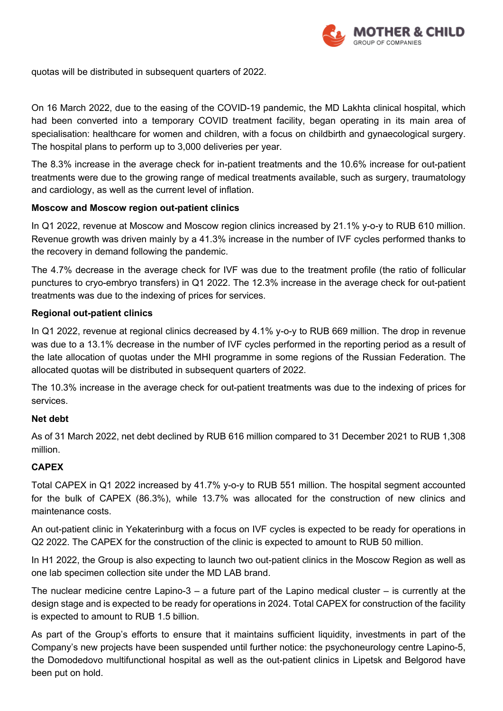

quotas will be distributed in subsequent quarters of 2022.

On 16 March 2022, due to the easing of the COVID-19 pandemic, the MD Lakhta clinical hospital, which had been converted into a temporary COVID treatment facility, began operating in its main area of specialisation: healthcare for women and children, with a focus on childbirth and gynaecological surgery. The hospital plans to perform up to 3,000 deliveries per year.

The 8.3% increase in the average check for in-patient treatments and the 10.6% increase for out-patient treatments were due to the growing range of medical treatments available, such as surgery, traumatology and cardiology, as well as the current level of inflation.

## **Moscow and Moscow region out-patient clinics**

In Q1 2022, revenue at Moscow and Moscow region clinics increased by 21.1% y-o-y to RUB 610 million. Revenue growth was driven mainly by a 41.3% increase in the number of IVF cycles performed thanks to the recovery in demand following the pandemic.

The 4.7% decrease in the average check for IVF was due to the treatment profile (the ratio of follicular punctures to cryo-embryo transfers) in Q1 2022. The 12.3% increase in the average check for out-patient treatments was due to the indexing of prices for services.

# **Regional out-patient clinics**

In Q1 2022, revenue at regional clinics decreased by 4.1% y-o-y to RUB 669 million. The drop in revenue was due to a 13.1% decrease in the number of IVF cycles performed in the reporting period as a result of the late allocation of quotas under the MHI programme in some regions of the Russian Federation. The allocated quotas will be distributed in subsequent quarters of 2022.

The 10.3% increase in the average check for out-patient treatments was due to the indexing of prices for services.

### **Net debt**

As of 31 March 2022, net debt declined by RUB 616 million compared to 31 December 2021 to RUB 1,308 million.

# **CAPEX**

Total CAPEX in Q1 2022 increased by 41.7% y-o-y to RUB 551 million. The hospital segment accounted for the bulk of CAPEX (86.3%), while 13.7% was allocated for the construction of new clinics and maintenance costs.

An out-patient clinic in Yekaterinburg with a focus on IVF cycles is expected to be ready for operations in Q2 2022. The CAPEX for the construction of the clinic is expected to amount to RUB 50 million.

In H1 2022, the Group is also expecting to launch two out-patient clinics in the Moscow Region as well as one lab specimen collection site under the MD LAB brand.

The nuclear medicine centre Lapino-3 – a future part of the Lapino medical cluster – is currently at the design stage and is expected to be ready for operations in 2024. Total CAPEX for construction of the facility is expected to amount to RUB 1.5 billion.

As part of the Group's efforts to ensure that it maintains sufficient liquidity, investments in part of the Company's new projects have been suspended until further notice: the psychoneurology centre Lapino-5, the Domodedovo multifunctional hospital as well as the out-patient clinics in Lipetsk and Belgorod have been put on hold.